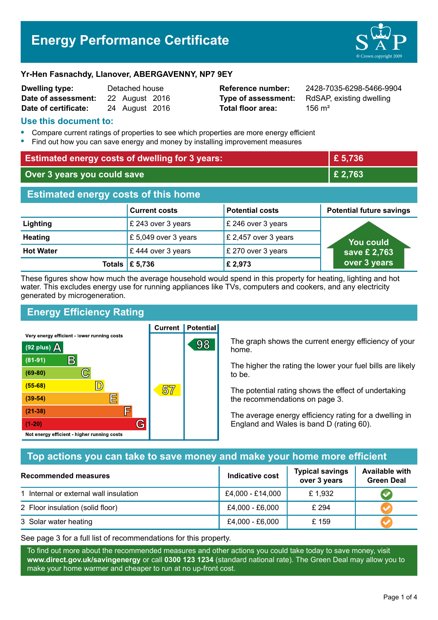# **Energy Performance Certificate**



#### **Yr-Hen Fasnachdy, Llanover, ABERGAVENNY, NP7 9EY**

| <b>Dwelling type:</b> | Detached house |                |  |
|-----------------------|----------------|----------------|--|
| Date of assessment:   |                | 22 August 2016 |  |
| Date of certificate:  |                | 24 August 2016 |  |

**Total floor area:** 256 m<sup>2</sup>

**Reference number:** 2428-7035-6298-5466-9904 **Type of assessment:** RdSAP, existing dwelling

#### **Use this document to:**

- **•** Compare current ratings of properties to see which properties are more energy efficient
- **•** Find out how you can save energy and money by installing improvement measures

| <b>Estimated energy costs of dwelling for 3 years:</b> |                           | £ 5,736                |                                 |  |
|--------------------------------------------------------|---------------------------|------------------------|---------------------------------|--|
| Over 3 years you could save                            |                           | £ 2,763                |                                 |  |
| <b>Estimated energy costs of this home</b>             |                           |                        |                                 |  |
|                                                        | <b>Current costs</b>      | <b>Potential costs</b> | <b>Potential future savings</b> |  |
| Lighting                                               | £ 243 over 3 years        | £ 246 over 3 years     |                                 |  |
| <b>Heating</b>                                         | £5,049 over 3 years       | £ 2,457 over 3 years   | <b>You could</b>                |  |
| <b>Hot Water</b>                                       | £444 over 3 years         | £ 270 over 3 years     | save £ 2,763                    |  |
|                                                        | Totals $\mathsf{E}$ 5,736 | £ 2,973                | over 3 years                    |  |

These figures show how much the average household would spend in this property for heating, lighting and hot water. This excludes energy use for running appliances like TVs, computers and cookers, and any electricity generated by microgeneration.

**Current | Potential** 

# **Energy Efficiency Rating**

Very energy efficient - lower running costs



The graph shows the current energy efficiency of your home.

The higher the rating the lower your fuel bills are likely to be.

The potential rating shows the effect of undertaking the recommendations on page 3.

The average energy efficiency rating for a dwelling in England and Wales is band D (rating 60).

## **Top actions you can take to save money and make your home more efficient**

| Recommended measures                   | Indicative cost  | <b>Typical savings</b><br>over 3 years | <b>Available with</b><br><b>Green Deal</b> |
|----------------------------------------|------------------|----------------------------------------|--------------------------------------------|
| 1 Internal or external wall insulation | £4,000 - £14,000 | £1,932                                 |                                            |
| 2 Floor insulation (solid floor)       | £4,000 - £6,000  | £ 294                                  |                                            |
| 3 Solar water heating                  | £4,000 - £6,000  | £159                                   |                                            |

See page 3 for a full list of recommendations for this property.

To find out more about the recommended measures and other actions you could take today to save money, visit **www.direct.gov.uk/savingenergy** or call **0300 123 1234** (standard national rate). The Green Deal may allow you to make your home warmer and cheaper to run at no up-front cost.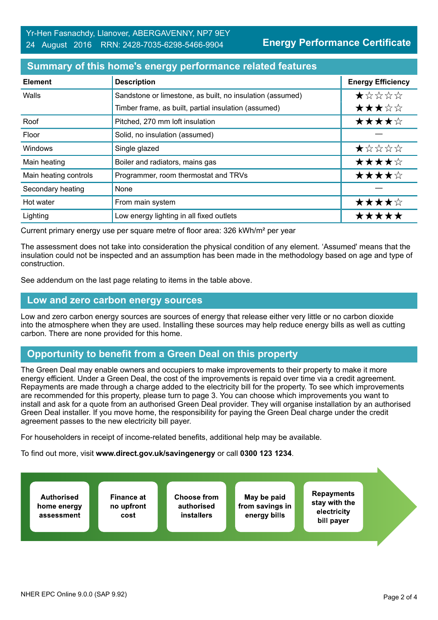**Energy Performance Certificate**

#### **Summary of this home's energy performance related features**

| <b>Element</b>        | <b>Description</b>                                        | <b>Energy Efficiency</b> |
|-----------------------|-----------------------------------------------------------|--------------------------|
| Walls                 | Sandstone or limestone, as built, no insulation (assumed) | *****                    |
|                       | Timber frame, as built, partial insulation (assumed)      | ★★★☆☆                    |
| Roof                  | Pitched, 270 mm loft insulation                           | ★★★★☆                    |
| Floor                 | Solid, no insulation (assumed)                            |                          |
| <b>Windows</b>        | Single glazed                                             | ★☆☆☆☆                    |
| Main heating          | Boiler and radiators, mains gas                           | ★★★★☆                    |
| Main heating controls | Programmer, room thermostat and TRVs                      | ★★★★☆                    |
| Secondary heating     | None                                                      |                          |
| Hot water             | From main system                                          | ★★★★☆                    |
| Lighting              | Low energy lighting in all fixed outlets                  | *****                    |

Current primary energy use per square metre of floor area: 326 kWh/m² per year

The assessment does not take into consideration the physical condition of any element. 'Assumed' means that the insulation could not be inspected and an assumption has been made in the methodology based on age and type of construction.

See addendum on the last page relating to items in the table above.

#### **Low and zero carbon energy sources**

Low and zero carbon energy sources are sources of energy that release either very little or no carbon dioxide into the atmosphere when they are used. Installing these sources may help reduce energy bills as well as cutting carbon. There are none provided for this home.

#### **Opportunity to benefit from a Green Deal on this property**

The Green Deal may enable owners and occupiers to make improvements to their property to make it more energy efficient. Under a Green Deal, the cost of the improvements is repaid over time via a credit agreement. Repayments are made through a charge added to the electricity bill for the property. To see which improvements are recommended for this property, please turn to page 3. You can choose which improvements you want to install and ask for a quote from an authorised Green Deal provider. They will organise installation by an authorised Green Deal installer. If you move home, the responsibility for paying the Green Deal charge under the credit agreement passes to the new electricity bill payer.

For householders in receipt of income-related benefits, additional help may be available.

To find out more, visit **www.direct.gov.uk/savingenergy** or call **0300 123 1234**.

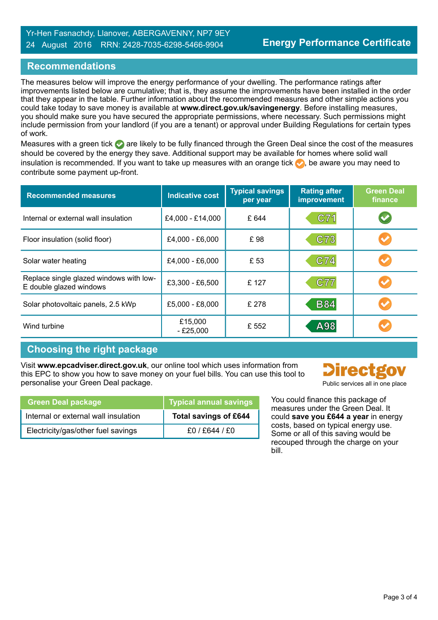## **Recommendations**

The measures below will improve the energy performance of your dwelling. The performance ratings after improvements listed below are cumulative; that is, they assume the improvements have been installed in the order that they appear in the table. Further information about the recommended measures and other simple actions you could take today to save money is available at **www.direct.gov.uk/savingenergy**. Before installing measures, you should make sure you have secured the appropriate permissions, where necessary. Such permissions might include permission from your landlord (if you are a tenant) or approval under Building Regulations for certain types of work.

Measures with a green tick are likely to be fully financed through the Green Deal since the cost of the measures should be covered by the energy they save. Additional support may be available for homes where solid wall insulation is recommended. If you want to take up measures with an orange tick  $\bullet$ , be aware you may need to contribute some payment up-front.

| <b>Recommended measures</b>                                        | <b>Indicative cost</b> | <b>Typical savings</b><br>per year | <b>Rating after</b><br>improvement | <b>Green Deal</b><br>finance |
|--------------------------------------------------------------------|------------------------|------------------------------------|------------------------------------|------------------------------|
| Internal or external wall insulation                               | £4,000 - £14,000       | £ 644                              | C71                                |                              |
| Floor insulation (solid floor)                                     | £4,000 - £6,000        | £98                                | C73                                |                              |
| Solar water heating                                                | £4,000 - £6,000        | £ 53                               | C74                                |                              |
| Replace single glazed windows with low-<br>E double glazed windows | £3,300 - £6,500        | £127                               | C77                                |                              |
| Solar photovoltaic panels, 2.5 kWp                                 | £5,000 - £8,000        | £ 278                              | <b>B84</b>                         |                              |
| Wind turbine                                                       | £15,000<br>$- E25,000$ | £ 552                              | A98                                |                              |

# **Choosing the right package**

Visit **www.epcadviser.direct.gov.uk**, our online tool which uses information from this EPC to show you how to save money on your fuel bills. You can use this tool to personalise your Green Deal package. Public services all in one place

| <b>Green Deal package</b>            | <b>Typical annual savings</b> |
|--------------------------------------|-------------------------------|
| Internal or external wall insulation | <b>Total savings of £644</b>  |
| Electricity/gas/other fuel savings   | £0/£644/£0                    |

**Directed** 

You could finance this package of measures under the Green Deal. It could **save you £644 a year** in energy costs, based on typical energy use. Some or all of this saving would be recouped through the charge on your bill.